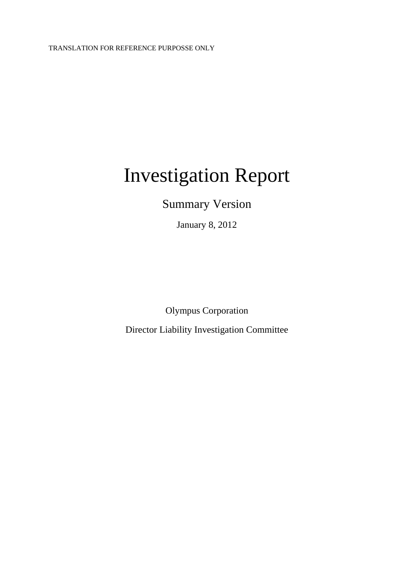# Investigation Report

Summary Version

January 8, 2012

Olympus Corporation

Director Liability Investigation Committee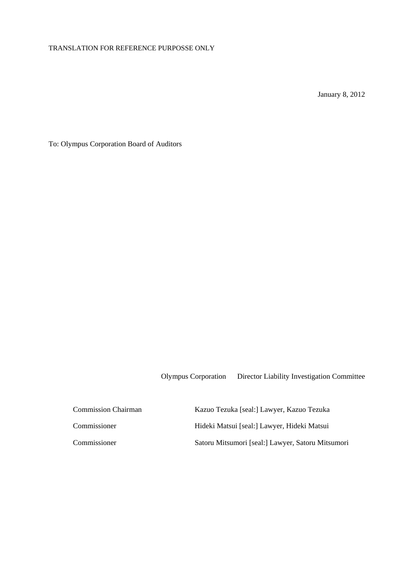January 8, 2012

To: Olympus Corporation Board of Auditors

Olympus Corporation Director Liability Investigation Committee

 Commission Chairman Kazuo Tezuka [seal:] Lawyer, Kazuo Tezuka Commissioner Hideki Matsui [seal:] Lawyer, Hideki Matsui Commissioner Satoru Mitsumori [seal:] Lawyer, Satoru Mitsumori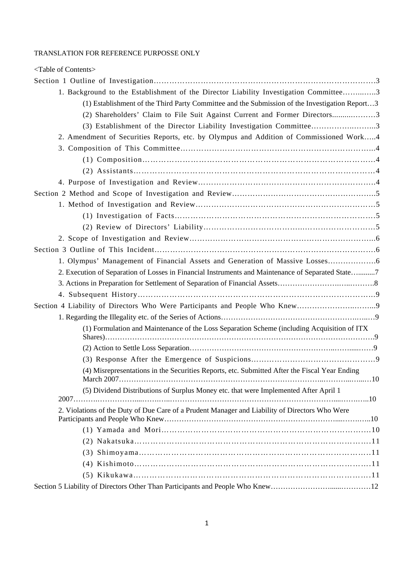| <table contents="" of=""></table>                                                                 |
|---------------------------------------------------------------------------------------------------|
|                                                                                                   |
| 1. Background to the Establishment of the Director Liability Investigation Committee3             |
| (1) Establishment of the Third Party Committee and the Submission of the Investigation Report3    |
| (2) Shareholders' Claim to File Suit Against Current and Former Directors3                        |
| (3) Establishment of the Director Liability Investigation Committee3                              |
| 2. Amendment of Securities Reports, etc. by Olympus and Addition of Commissioned Work4            |
|                                                                                                   |
|                                                                                                   |
|                                                                                                   |
|                                                                                                   |
|                                                                                                   |
|                                                                                                   |
|                                                                                                   |
|                                                                                                   |
|                                                                                                   |
|                                                                                                   |
| 1. Olympus' Management of Financial Assets and Generation of Massive Losses                       |
| 2. Execution of Separation of Losses in Financial Instruments and Maintenance of Separated State7 |
|                                                                                                   |
|                                                                                                   |
|                                                                                                   |
|                                                                                                   |
| (1) Formulation and Maintenance of the Loss Separation Scheme (including Acquisition of ITX       |
|                                                                                                   |
|                                                                                                   |
|                                                                                                   |
| (4) Misrepresentations in the Securities Reports, etc. Submitted After the Fiscal Year Ending     |
| (5) Dividend Distributions of Surplus Money etc. that were Implemented After April 1              |
|                                                                                                   |
| 2. Violations of the Duty of Due Care of a Prudent Manager and Liability of Directors Who Were    |
|                                                                                                   |
|                                                                                                   |
|                                                                                                   |
|                                                                                                   |
|                                                                                                   |
|                                                                                                   |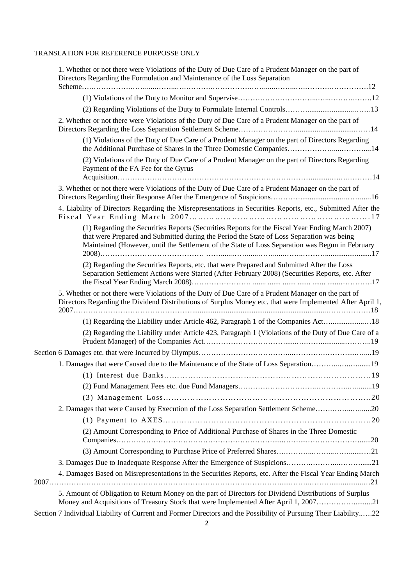| 1. Whether or not there were Violations of the Duty of Due Care of a Prudent Manager on the part of<br>Directors Regarding the Formulation and Maintenance of the Loss Separation                                                                                                               |
|-------------------------------------------------------------------------------------------------------------------------------------------------------------------------------------------------------------------------------------------------------------------------------------------------|
|                                                                                                                                                                                                                                                                                                 |
|                                                                                                                                                                                                                                                                                                 |
|                                                                                                                                                                                                                                                                                                 |
| 2. Whether or not there were Violations of the Duty of Due Care of a Prudent Manager on the part of                                                                                                                                                                                             |
| (1) Violations of the Duty of Due Care of a Prudent Manager on the part of Directors Regarding<br>the Additional Purchase of Shares in the Three Domestic Companies14                                                                                                                           |
| (2) Violations of the Duty of Due Care of a Prudent Manager on the part of Directors Regarding<br>Payment of the FA Fee for the Gyrus                                                                                                                                                           |
| 3. Whether or not there were Violations of the Duty of Due Care of a Prudent Manager on the part of                                                                                                                                                                                             |
| 4. Liability of Directors Regarding the Misrepresentations in Securities Reports, etc., Submitted After the                                                                                                                                                                                     |
| (1) Regarding the Securities Reports (Securities Reports for the Fiscal Year Ending March 2007)<br>that were Prepared and Submitted during the Period the State of Loss Separation was being<br>Maintained (However, until the Settlement of the State of Loss Separation was Begun in February |
| (2) Regarding the Securities Reports, etc. that were Prepared and Submitted After the Loss<br>Separation Settlement Actions were Started (After February 2008) (Securities Reports, etc. After                                                                                                  |
| 5. Whether or not there were Violations of the Duty of Due Care of a Prudent Manager on the part of<br>Directors Regarding the Dividend Distributions of Surplus Money etc. that were Implemented After April 1,                                                                                |
|                                                                                                                                                                                                                                                                                                 |
| (2) Regarding the Liability under Article 423, Paragraph 1 (Violations of the Duty of Due Care of a                                                                                                                                                                                             |
|                                                                                                                                                                                                                                                                                                 |
| 1. Damages that were Caused due to the Maintenance of the State of Loss Separation19                                                                                                                                                                                                            |
|                                                                                                                                                                                                                                                                                                 |
|                                                                                                                                                                                                                                                                                                 |
|                                                                                                                                                                                                                                                                                                 |
| 2. Damages that were Caused by Execution of the Loss Separation Settlement Scheme20                                                                                                                                                                                                             |
|                                                                                                                                                                                                                                                                                                 |
| (2) Amount Corresponding to Price of Additional Purchase of Shares in the Three Domestic                                                                                                                                                                                                        |
|                                                                                                                                                                                                                                                                                                 |
|                                                                                                                                                                                                                                                                                                 |
| 3. Damages Due to Inadequate Response After the Emergence of Suspicions21                                                                                                                                                                                                                       |
| 4. Damages Based on Misrepresentations in the Securities Reports, etc. After the Fiscal Year Ending March                                                                                                                                                                                       |
| 5. Amount of Obligation to Return Money on the part of Directors for Dividend Distributions of Surplus<br>Money and Acquisitions of Treasury Stock that were Implemented After April 1, 200721                                                                                                  |
| Section 7 Individual Liability of Current and Former Directors and the Possibility of Pursuing Their Liability22                                                                                                                                                                                |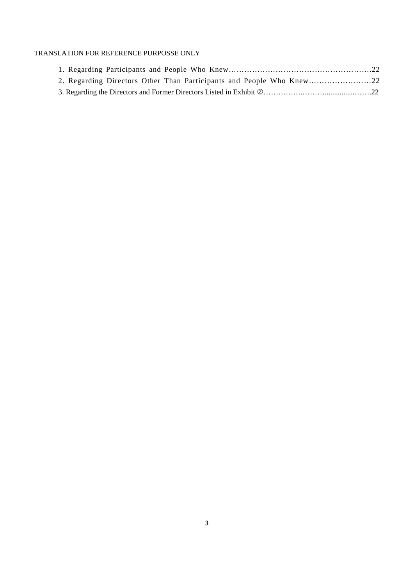|  | 2. Regarding Directors Other Than Participants and People Who Knew |  |
|--|--------------------------------------------------------------------|--|
|  |                                                                    |  |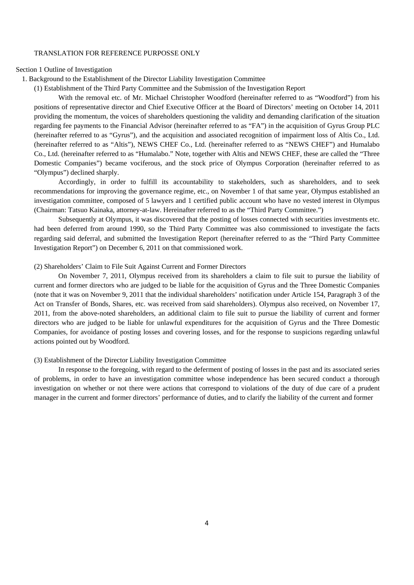Section 1 Outline of Investigation

1. Background to the Establishment of the Director Liability Investigation Committee

(1) Establishment of the Third Party Committee and the Submission of the Investigation Report

With the removal etc. of Mr. Michael Christopher Woodford (hereinafter referred to as "Woodford") from his positions of representative director and Chief Executive Officer at the Board of Directors' meeting on October 14, 2011 providing the momentum, the voices of shareholders questioning the validity and demanding clarification of the situation regarding fee payments to the Financial Advisor (hereinafter referred to as "FA") in the acquisition of Gyrus Group PLC (hereinafter referred to as "Gyrus"), and the acquisition and associated recognition of impairment loss of Altis Co., Ltd. (hereinafter referred to as "Altis"), NEWS CHEF Co., Ltd. (hereinafter referred to as "NEWS CHEF") and Humalabo Co., Ltd. (hereinafter referred to as "Humalabo." Note, together with Altis and NEWS CHEF, these are called the "Three Domestic Companies") became vociferous, and the stock price of Olympus Corporation (hereinafter referred to as "Olympus") declined sharply.

Accordingly, in order to fulfill its accountability to stakeholders, such as shareholders, and to seek recommendations for improving the governance regime, etc., on November 1 of that same year, Olympus established an investigation committee, composed of 5 lawyers and 1 certified public account who have no vested interest in Olympus (Chairman: Tatsuo Kainaka, attorney-at-law. Hereinafter referred to as the "Third Party Committee.")

Subsequently at Olympus, it was discovered that the posting of losses connected with securities investments etc. had been deferred from around 1990, so the Third Party Committee was also commissioned to investigate the facts regarding said deferral, and submitted the Investigation Report (hereinafter referred to as the "Third Party Committee Investigation Report") on December 6, 2011 on that commissioned work.

(2) Shareholders' Claim to File Suit Against Current and Former Directors

On November 7, 2011, Olympus received from its shareholders a claim to file suit to pursue the liability of current and former directors who are judged to be liable for the acquisition of Gyrus and the Three Domestic Companies (note that it was on November 9, 2011 that the individual shareholders' notification under Article 154, Paragraph 3 of the Act on Transfer of Bonds, Shares, etc. was received from said shareholders). Olympus also received, on November 17, 2011, from the above-noted shareholders, an additional claim to file suit to pursue the liability of current and former directors who are judged to be liable for unlawful expenditures for the acquisition of Gyrus and the Three Domestic Companies, for avoidance of posting losses and covering losses, and for the response to suspicions regarding unlawful actions pointed out by Woodford.

## (3) Establishment of the Director Liability Investigation Committee

In response to the foregoing, with regard to the deferment of posting of losses in the past and its associated series of problems, in order to have an investigation committee whose independence has been secured conduct a thorough investigation on whether or not there were actions that correspond to violations of the duty of due care of a prudent manager in the current and former directors' performance of duties, and to clarify the liability of the current and former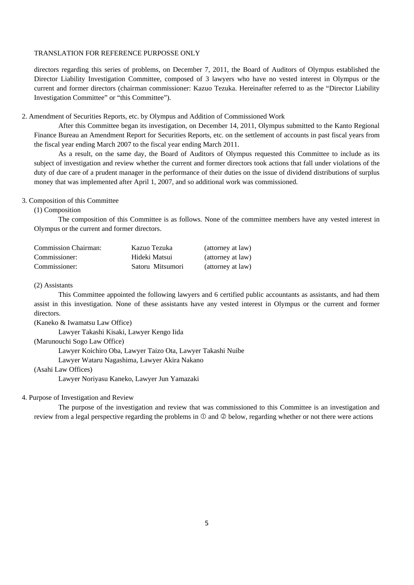directors regarding this series of problems, on December 7, 2011, the Board of Auditors of Olympus established the Director Liability Investigation Committee, composed of 3 lawyers who have no vested interest in Olympus or the current and former directors (chairman commissioner: Kazuo Tezuka. Hereinafter referred to as the "Director Liability Investigation Committee" or "this Committee").

2. Amendment of Securities Reports, etc. by Olympus and Addition of Commissioned Work

After this Committee began its investigation, on December 14, 2011, Olympus submitted to the Kanto Regional Finance Bureau an Amendment Report for Securities Reports, etc. on the settlement of accounts in past fiscal years from the fiscal year ending March 2007 to the fiscal year ending March 2011.

As a result, on the same day, the Board of Auditors of Olympus requested this Committee to include as its subject of investigation and review whether the current and former directors took actions that fall under violations of the duty of due care of a prudent manager in the performance of their duties on the issue of dividend distributions of surplus money that was implemented after April 1, 2007, and so additional work was commissioned.

## 3. Composition of this Committee

(1) Composition

The composition of this Committee is as follows. None of the committee members have any vested interest in Olympus or the current and former directors.

| Commission Chairman: | Kazuo Tezuka     | (attorney at law) |
|----------------------|------------------|-------------------|
| Commissioner:        | Hideki Matsui    | (attorney at law) |
| Commissioner:        | Satoru Mitsumori | (attorney at law) |

## (2) Assistants

This Committee appointed the following lawyers and 6 certified public accountants as assistants, and had them assist in this investigation. None of these assistants have any vested interest in Olympus or the current and former directors.

(Kaneko & Iwamatsu Law Office)

 Lawyer Takashi Kisaki, Lawyer Kengo Iida (Marunouchi Sogo Law Office) Lawyer Koichiro Oba, Lawyer Taizo Ota, Lawyer Takashi Nuibe Lawyer Wataru Nagashima, Lawyer Akira Nakano

## (Asahi Law Offices)

Lawyer Noriyasu Kaneko, Lawyer Jun Yamazaki

#### 4. Purpose of Investigation and Review

The purpose of the investigation and review that was commissioned to this Committee is an investigation and review from a legal perspective regarding the problems in  $\mathbb O$  and  $\mathbb Q$  below, regarding whether or not there were actions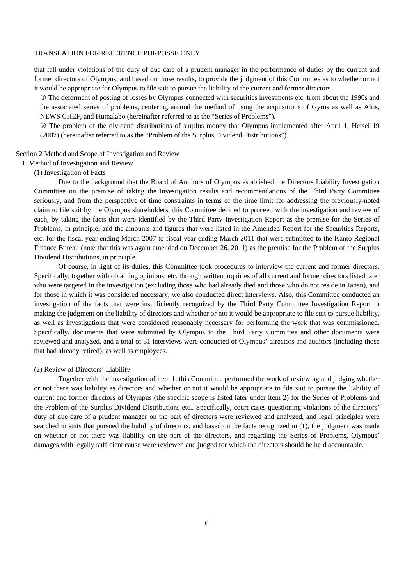that fall under violations of the duty of due care of a prudent manager in the performance of duties by the current and former directors of Olympus, and based on those results, to provide the judgment of this Committee as to whether or not it would be appropriate for Olympus to file suit to pursue the liability of the current and former directors.

 The deferment of posting of losses by Olympus connected with securities investments etc. from about the 1990s and the associated series of problems, centering around the method of using the acquisitions of Gyrus as well as Altis, NEWS CHEF, and Humalabo (hereinafter referred to as the "Series of Problems").

 The problem of the dividend distributions of surplus money that Olympus implemented after April 1, Heisei 19 (2007) (hereinafter referred to as the "Problem of the Surplus Dividend Distributions").

Section 2 Method and Scope of Investigation and Review

1. Method of Investigation and Review

(1) Investigation of Facts

Due to the background that the Board of Auditors of Olympus established the Directors Liability Investigation Committee on the premise of taking the investigation results and recommendations of the Third Party Committee seriously, and from the perspective of time constraints in terms of the time limit for addressing the previously-noted claim to file suit by the Olympus shareholders, this Committee decided to proceed with the investigation and review of each, by taking the facts that were identified by the Third Party Investigation Report as the premise for the Series of Problems, in principle, and the amounts and figures that were listed in the Amended Report for the Securities Reports, etc. for the fiscal year ending March 2007 to fiscal year ending March 2011 that were submitted to the Kanto Regional Finance Bureau (note that this was again amended on December 26, 2011) as the premise for the Problem of the Surplus Dividend Distributions, in principle.

Of course, in light of its duties, this Committee took procedures to interview the current and former directors. Specifically, together with obtaining opinions, etc. through written inquiries of all current and former directors listed later who were targeted in the investigation (excluding those who had already died and those who do not reside in Japan), and for those in which it was considered necessary, we also conducted direct interviews. Also, this Committee conducted an investigation of the facts that were insufficiently recognized by the Third Party Committee Investigation Report in making the judgment on the liability of directors and whether or not it would be appropriate to file suit to pursue liability, as well as investigations that were considered reasonably necessary for performing the work that was commissioned. Specifically, documents that were submitted by Olympus to the Third Party Committee and other documents were reviewed and analyzed, and a total of 31 interviews were conducted of Olympus' directors and auditors (including those that had already retired), as well as employees.

## (2) Review of Directors' Liability

Together with the investigation of item 1, this Committee performed the work of reviewing and judging whether or not there was liability as directors and whether or not it would be appropriate to file suit to pursue the liability of current and former directors of Olympus (the specific scope is listed later under item 2) for the Series of Problems and the Problem of the Surplus Dividend Distributions etc.. Specifically, court cases questioning violations of the directors' duty of due care of a prudent manager on the part of directors were reviewed and analyzed, and legal principles were searched in suits that pursued the liability of directors, and based on the facts recognized in (1), the judgment was made on whether or not there was liability on the part of the directors, and regarding the Series of Problems, Olympus' damages with legally sufficient cause were reviewed and judged for which the directors should be held accountable.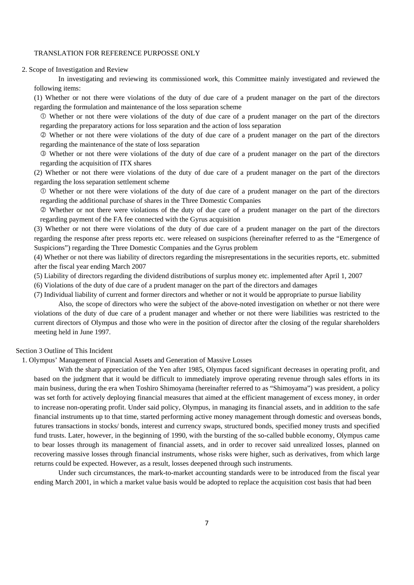2. Scope of Investigation and Review

In investigating and reviewing its commissioned work, this Committee mainly investigated and reviewed the following items:

(1) Whether or not there were violations of the duty of due care of a prudent manager on the part of the directors regarding the formulation and maintenance of the loss separation scheme

 Whether or not there were violations of the duty of due care of a prudent manager on the part of the directors regarding the preparatory actions for loss separation and the action of loss separation

 Whether or not there were violations of the duty of due care of a prudent manager on the part of the directors regarding the maintenance of the state of loss separation

 Whether or not there were violations of the duty of due care of a prudent manager on the part of the directors regarding the acquisition of ITX shares

(2) Whether or not there were violations of the duty of due care of a prudent manager on the part of the directors regarding the loss separation settlement scheme

 Whether or not there were violations of the duty of due care of a prudent manager on the part of the directors regarding the additional purchase of shares in the Three Domestic Companies

 Whether or not there were violations of the duty of due care of a prudent manager on the part of the directors regarding payment of the FA fee connected with the Gyrus acquisition

(3) Whether or not there were violations of the duty of due care of a prudent manager on the part of the directors regarding the response after press reports etc. were released on suspicions (hereinafter referred to as the "Emergence of Suspicions") regarding the Three Domestic Companies and the Gyrus problem

(4) Whether or not there was liability of directors regarding the misrepresentations in the securities reports, etc. submitted after the fiscal year ending March 2007

(5) Liability of directors regarding the dividend distributions of surplus money etc. implemented after April 1, 2007

(6) Violations of the duty of due care of a prudent manager on the part of the directors and damages

(7) Individual liability of current and former directors and whether or not it would be appropriate to pursue liability

Also, the scope of directors who were the subject of the above-noted investigation on whether or not there were violations of the duty of due care of a prudent manager and whether or not there were liabilities was restricted to the current directors of Olympus and those who were in the position of director after the closing of the regular shareholders meeting held in June 1997.

Section 3 Outline of This Incident

1. Olympus' Management of Financial Assets and Generation of Massive Losses

With the sharp appreciation of the Yen after 1985, Olympus faced significant decreases in operating profit, and based on the judgment that it would be difficult to immediately improve operating revenue through sales efforts in its main business, during the era when Toshiro Shimoyama (hereinafter referred to as "Shimoyama") was president, a policy was set forth for actively deploying financial measures that aimed at the efficient management of excess money, in order to increase non-operating profit. Under said policy, Olympus, in managing its financial assets, and in addition to the safe financial instruments up to that time, started performing active money management through domestic and overseas bonds, futures transactions in stocks/ bonds, interest and currency swaps, structured bonds, specified money trusts and specified fund trusts. Later, however, in the beginning of 1990, with the bursting of the so-called bubble economy, Olympus came to bear losses through its management of financial assets, and in order to recover said unrealized losses, planned on recovering massive losses through financial instruments, whose risks were higher, such as derivatives, from which large returns could be expected. However, as a result, losses deepened through such instruments.

Under such circumstances, the mark-to-market accounting standards were to be introduced from the fiscal year ending March 2001, in which a market value basis would be adopted to replace the acquisition cost basis that had been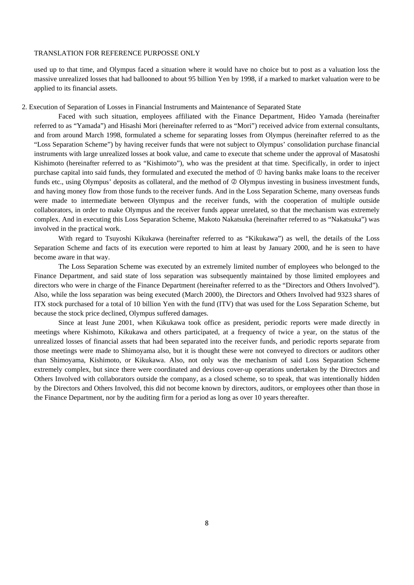used up to that time, and Olympus faced a situation where it would have no choice but to post as a valuation loss the massive unrealized losses that had ballooned to about 95 billion Yen by 1998, if a marked to market valuation were to be applied to its financial assets.

#### 2. Execution of Separation of Losses in Financial Instruments and Maintenance of Separated State

Faced with such situation, employees affiliated with the Finance Department, Hideo Yamada (hereinafter referred to as "Yamada") and Hisashi Mori (hereinafter referred to as "Mori") received advice from external consultants, and from around March 1998, formulated a scheme for separating losses from Olympus (hereinafter referred to as the "Loss Separation Scheme") by having receiver funds that were not subject to Olympus' consolidation purchase financial instruments with large unrealized losses at book value, and came to execute that scheme under the approval of Masatoshi Kishimoto (hereinafter referred to as "Kishimoto"), who was the president at that time. Specifically, in order to inject purchase capital into said funds, they formulated and executed the method of  $\mathbb O$  having banks make loans to the receiver funds etc., using Olympus' deposits as collateral, and the method of  $\oslash$  Olympus investing in business investment funds, and having money flow from those funds to the receiver funds. And in the Loss Separation Scheme, many overseas funds were made to intermediate between Olympus and the receiver funds, with the cooperation of multiple outside collaborators, in order to make Olympus and the receiver funds appear unrelated, so that the mechanism was extremely complex. And in executing this Loss Separation Scheme, Makoto Nakatsuka (hereinafter referred to as "Nakatsuka") was involved in the practical work.

With regard to Tsuyoshi Kikukawa (hereinafter referred to as "Kikukawa") as well, the details of the Loss Separation Scheme and facts of its execution were reported to him at least by January 2000, and he is seen to have become aware in that way.

The Loss Separation Scheme was executed by an extremely limited number of employees who belonged to the Finance Department, and said state of loss separation was subsequently maintained by those limited employees and directors who were in charge of the Finance Department (hereinafter referred to as the "Directors and Others Involved"). Also, while the loss separation was being executed (March 2000), the Directors and Others Involved had 9323 shares of ITX stock purchased for a total of 10 billion Yen with the fund (ITV) that was used for the Loss Separation Scheme, but because the stock price declined, Olympus suffered damages.

Since at least June 2001, when Kikukawa took office as president, periodic reports were made directly in meetings where Kishimoto, Kikukawa and others participated, at a frequency of twice a year, on the status of the unrealized losses of financial assets that had been separated into the receiver funds, and periodic reports separate from those meetings were made to Shimoyama also, but it is thought these were not conveyed to directors or auditors other than Shimoyama, Kishimoto, or Kikukawa. Also, not only was the mechanism of said Loss Separation Scheme extremely complex, but since there were coordinated and devious cover-up operations undertaken by the Directors and Others Involved with collaborators outside the company, as a closed scheme, so to speak, that was intentionally hidden by the Directors and Others Involved, this did not become known by directors, auditors, or employees other than those in the Finance Department, nor by the auditing firm for a period as long as over 10 years thereafter.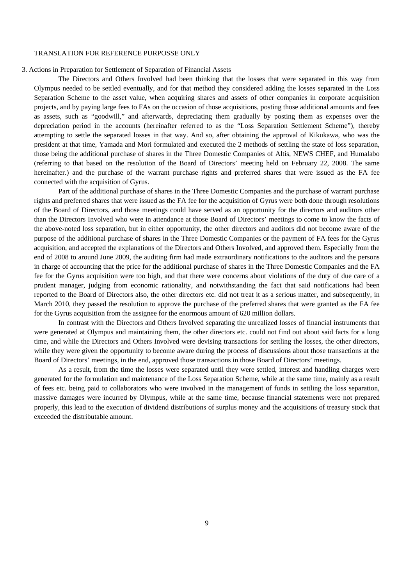#### 3. Actions in Preparation for Settlement of Separation of Financial Assets

The Directors and Others Involved had been thinking that the losses that were separated in this way from Olympus needed to be settled eventually, and for that method they considered adding the losses separated in the Loss Separation Scheme to the asset value, when acquiring shares and assets of other companies in corporate acquisition projects, and by paying large fees to FAs on the occasion of those acquisitions, posting those additional amounts and fees as assets, such as "goodwill," and afterwards, depreciating them gradually by posting them as expenses over the depreciation period in the accounts (hereinafter referred to as the "Loss Separation Settlement Scheme"), thereby attempting to settle the separated losses in that way. And so, after obtaining the approval of Kikukawa, who was the president at that time, Yamada and Mori formulated and executed the 2 methods of settling the state of loss separation, those being the additional purchase of shares in the Three Domestic Companies of Altis, NEWS CHEF, and Humalabo (referring to that based on the resolution of the Board of Directors' meeting held on February 22, 2008. The same hereinafter.) and the purchase of the warrant purchase rights and preferred shares that were issued as the FA fee connected with the acquisition of Gyrus.

Part of the additional purchase of shares in the Three Domestic Companies and the purchase of warrant purchase rights and preferred shares that were issued as the FA fee for the acquisition of Gyrus were both done through resolutions of the Board of Directors, and those meetings could have served as an opportunity for the directors and auditors other than the Directors Involved who were in attendance at those Board of Directors' meetings to come to know the facts of the above-noted loss separation, but in either opportunity, the other directors and auditors did not become aware of the purpose of the additional purchase of shares in the Three Domestic Companies or the payment of FA fees for the Gyrus acquisition, and accepted the explanations of the Directors and Others Involved, and approved them. Especially from the end of 2008 to around June 2009, the auditing firm had made extraordinary notifications to the auditors and the persons in charge of accounting that the price for the additional purchase of shares in the Three Domestic Companies and the FA fee for the Gyrus acquisition were too high, and that there were concerns about violations of the duty of due care of a prudent manager, judging from economic rationality, and notwithstanding the fact that said notifications had been reported to the Board of Directors also, the other directors etc. did not treat it as a serious matter, and subsequently, in March 2010, they passed the resolution to approve the purchase of the preferred shares that were granted as the FA fee for the Gyrus acquisition from the assignee for the enormous amount of 620 million dollars.

In contrast with the Directors and Others Involved separating the unrealized losses of financial instruments that were generated at Olympus and maintaining them, the other directors etc. could not find out about said facts for a long time, and while the Directors and Others Involved were devising transactions for settling the losses, the other directors, while they were given the opportunity to become aware during the process of discussions about those transactions at the Board of Directors' meetings, in the end, approved those transactions in those Board of Directors' meetings.

As a result, from the time the losses were separated until they were settled, interest and handling charges were generated for the formulation and maintenance of the Loss Separation Scheme, while at the same time, mainly as a result of fees etc. being paid to collaborators who were involved in the management of funds in settling the loss separation, massive damages were incurred by Olympus, while at the same time, because financial statements were not prepared properly, this lead to the execution of dividend distributions of surplus money and the acquisitions of treasury stock that exceeded the distributable amount.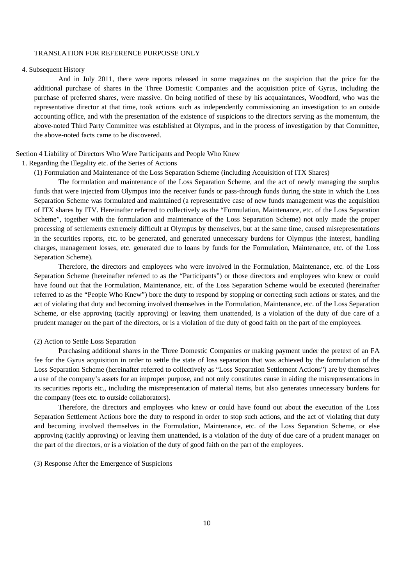#### 4. Subsequent History

And in July 2011, there were reports released in some magazines on the suspicion that the price for the additional purchase of shares in the Three Domestic Companies and the acquisition price of Gyrus, including the purchase of preferred shares, were massive. On being notified of these by his acquaintances, Woodford, who was the representative director at that time, took actions such as independently commissioning an investigation to an outside accounting office, and with the presentation of the existence of suspicions to the directors serving as the momentum, the above-noted Third Party Committee was established at Olympus, and in the process of investigation by that Committee, the above-noted facts came to be discovered.

#### Section 4 Liability of Directors Who Were Participants and People Who Knew

#### 1. Regarding the Illegality etc. of the Series of Actions

(1) Formulation and Maintenance of the Loss Separation Scheme (including Acquisition of ITX Shares)

The formulation and maintenance of the Loss Separation Scheme, and the act of newly managing the surplus funds that were injected from Olympus into the receiver funds or pass-through funds during the state in which the Loss Separation Scheme was formulated and maintained (a representative case of new funds management was the acquisition of ITX shares by ITV. Hereinafter referred to collectively as the "Formulation, Maintenance, etc. of the Loss Separation Scheme", together with the formulation and maintenance of the Loss Separation Scheme) not only made the proper processing of settlements extremely difficult at Olympus by themselves, but at the same time, caused misrepresentations in the securities reports, etc. to be generated, and generated unnecessary burdens for Olympus (the interest, handling charges, management losses, etc. generated due to loans by funds for the Formulation, Maintenance, etc. of the Loss Separation Scheme).

Therefore, the directors and employees who were involved in the Formulation, Maintenance, etc. of the Loss Separation Scheme (hereinafter referred to as the "Participants") or those directors and employees who knew or could have found out that the Formulation, Maintenance, etc. of the Loss Separation Scheme would be executed (hereinafter referred to as the "People Who Knew") bore the duty to respond by stopping or correcting such actions or states, and the act of violating that duty and becoming involved themselves in the Formulation, Maintenance, etc. of the Loss Separation Scheme, or else approving (tacitly approving) or leaving them unattended, is a violation of the duty of due care of a prudent manager on the part of the directors, or is a violation of the duty of good faith on the part of the employees.

## (2) Action to Settle Loss Separation

Purchasing additional shares in the Three Domestic Companies or making payment under the pretext of an FA fee for the Gyrus acquisition in order to settle the state of loss separation that was achieved by the formulation of the Loss Separation Scheme (hereinafter referred to collectively as "Loss Separation Settlement Actions") are by themselves a use of the company's assets for an improper purpose, and not only constitutes cause in aiding the misrepresentations in its securities reports etc., including the misrepresentation of material items, but also generates unnecessary burdens for the company (fees etc. to outside collaborators).

Therefore, the directors and employees who knew or could have found out about the execution of the Loss Separation Settlement Actions bore the duty to respond in order to stop such actions, and the act of violating that duty and becoming involved themselves in the Formulation, Maintenance, etc. of the Loss Separation Scheme, or else approving (tacitly approving) or leaving them unattended, is a violation of the duty of due care of a prudent manager on the part of the directors, or is a violation of the duty of good faith on the part of the employees.

#### (3) Response After the Emergence of Suspicions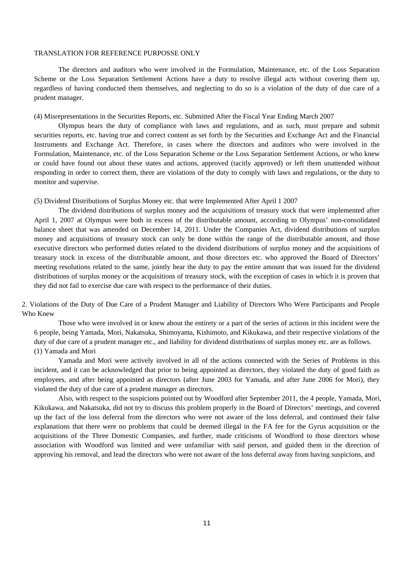The directors and auditors who were involved in the Formulation, Maintenance, etc. of the Loss Separation Scheme or the Loss Separation Settlement Actions have a duty to resolve illegal acts without covering them up, regardless of having conducted them themselves, and neglecting to do so is a violation of the duty of due care of a prudent manager.

#### (4) Misrepresentations in the Securities Reports, etc. Submitted After the Fiscal Year Ending March 2007

Olympus bears the duty of compliance with laws and regulations, and as such, must prepare and submit securities reports, etc. having true and correct content as set forth by the Securities and Exchange Act and the Financial Instruments and Exchange Act. Therefore, in cases where the directors and auditors who were involved in the Formulation, Maintenance, etc. of the Loss Separation Scheme or the Loss Separation Settlement Actions, or who knew or could have found out about these states and actions, approved (tacitly approved) or left them unattended without responding in order to correct them, there are violations of the duty to comply with laws and regulations, or the duty to monitor and supervise.

(5) Dividend Distributions of Surplus Money etc. that were Implemented After April 1 2007

The dividend distributions of surplus money and the acquisitions of treasury stock that were implemented after April 1, 2007 at Olympus were both in excess of the distributable amount, according to Olympus' non-consolidated balance sheet that was amended on December 14, 2011. Under the Companies Act, dividend distributions of surplus money and acquisitions of treasury stock can only be done within the range of the distributable amount, and those executive directors who performed duties related to the dividend distributions of surplus money and the acquisitions of treasury stock in excess of the distributable amount, and those directors etc. who approved the Board of Directors' meeting resolutions related to the same, jointly bear the duty to pay the entire amount that was issued for the dividend distributions of surplus money or the acquisitions of treasury stock, with the exception of cases in which it is proven that they did not fail to exercise due care with respect to the performance of their duties.

2. Violations of the Duty of Due Care of a Prudent Manager and Liability of Directors Who Were Participants and People Who Knew

Those who were involved in or knew about the entirety or a part of the series of actions in this incident were the 6 people, being Yamada, Mori, Nakatsuka, Shimoyama, Kishimoto, and Kikukawa, and their respective violations of the duty of due care of a prudent manager etc., and liability for dividend distributions of surplus money etc. are as follows. (1) Yamada and Mori

Yamada and Mori were actively involved in all of the actions connected with the Series of Problems in this incident, and it can be acknowledged that prior to being appointed as directors, they violated the duty of good faith as employees, and after being appointed as directors (after June 2003 for Yamada, and after June 2006 for Mori), they violated the duty of due care of a prudent manager as directors.

Also, with respect to the suspicions pointed out by Woodford after September 2011, the 4 people, Yamada, Mori, Kikukawa, and Nakatsuka, did not try to discuss this problem properly in the Board of Directors' meetings, and covered up the fact of the loss deferral from the directors who were not aware of the loss deferral, and continued their false explanations that there were no problems that could be deemed illegal in the FA fee for the Gyrus acquisition or the acquisitions of the Three Domestic Companies, and further, made criticisms of Woodford to those directors whose association with Woodford was limited and were unfamiliar with said person, and guided them in the direction of approving his removal, and lead the directors who were not aware of the loss deferral away from having suspicions, and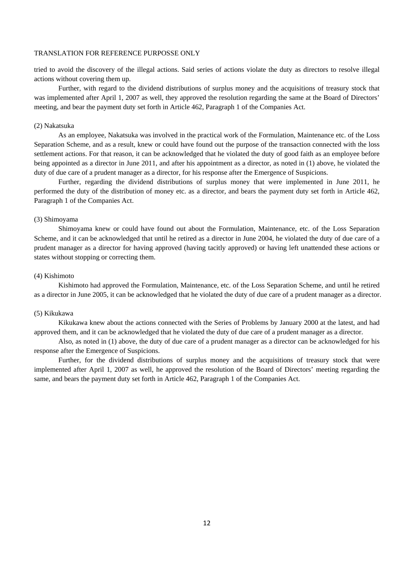tried to avoid the discovery of the illegal actions. Said series of actions violate the duty as directors to resolve illegal actions without covering them up.

Further, with regard to the dividend distributions of surplus money and the acquisitions of treasury stock that was implemented after April 1, 2007 as well, they approved the resolution regarding the same at the Board of Directors' meeting, and bear the payment duty set forth in Article 462, Paragraph 1 of the Companies Act.

#### (2) Nakatsuka

As an employee, Nakatsuka was involved in the practical work of the Formulation, Maintenance etc. of the Loss Separation Scheme, and as a result, knew or could have found out the purpose of the transaction connected with the loss settlement actions. For that reason, it can be acknowledged that he violated the duty of good faith as an employee before being appointed as a director in June 2011, and after his appointment as a director, as noted in (1) above, he violated the duty of due care of a prudent manager as a director, for his response after the Emergence of Suspicions.

Further, regarding the dividend distributions of surplus money that were implemented in June 2011, he performed the duty of the distribution of money etc. as a director, and bears the payment duty set forth in Article 462, Paragraph 1 of the Companies Act.

#### (3) Shimoyama

Shimoyama knew or could have found out about the Formulation, Maintenance, etc. of the Loss Separation Scheme, and it can be acknowledged that until he retired as a director in June 2004, he violated the duty of due care of a prudent manager as a director for having approved (having tacitly approved) or having left unattended these actions or states without stopping or correcting them.

## (4) Kishimoto

Kishimoto had approved the Formulation, Maintenance, etc. of the Loss Separation Scheme, and until he retired as a director in June 2005, it can be acknowledged that he violated the duty of due care of a prudent manager as a director.

#### (5) Kikukawa

Kikukawa knew about the actions connected with the Series of Problems by January 2000 at the latest, and had approved them, and it can be acknowledged that he violated the duty of due care of a prudent manager as a director.

Also, as noted in (1) above, the duty of due care of a prudent manager as a director can be acknowledged for his response after the Emergence of Suspicions.

Further, for the dividend distributions of surplus money and the acquisitions of treasury stock that were implemented after April 1, 2007 as well, he approved the resolution of the Board of Directors' meeting regarding the same, and bears the payment duty set forth in Article 462, Paragraph 1 of the Companies Act.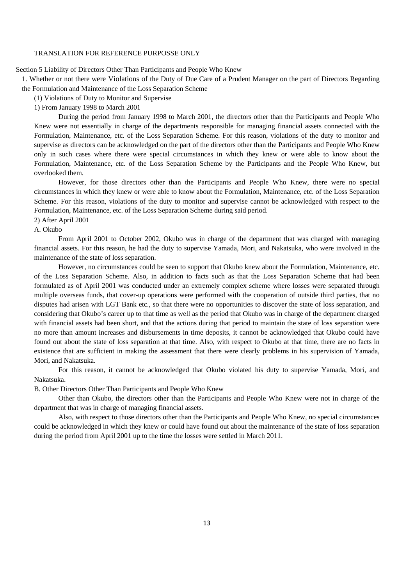Section 5 Liability of Directors Other Than Participants and People Who Knew

1. Whether or not there were Violations of the Duty of Due Care of a Prudent Manager on the part of Directors Regarding the Formulation and Maintenance of the Loss Separation Scheme

(1) Violations of Duty to Monitor and Supervise

1) From January 1998 to March 2001

During the period from January 1998 to March 2001, the directors other than the Participants and People Who Knew were not essentially in charge of the departments responsible for managing financial assets connected with the Formulation, Maintenance, etc. of the Loss Separation Scheme. For this reason, violations of the duty to monitor and supervise as directors can be acknowledged on the part of the directors other than the Participants and People Who Knew only in such cases where there were special circumstances in which they knew or were able to know about the Formulation, Maintenance, etc. of the Loss Separation Scheme by the Participants and the People Who Knew, but overlooked them.

However, for those directors other than the Participants and People Who Knew, there were no special circumstances in which they knew or were able to know about the Formulation, Maintenance, etc. of the Loss Separation Scheme. For this reason, violations of the duty to monitor and supervise cannot be acknowledged with respect to the Formulation, Maintenance, etc. of the Loss Separation Scheme during said period.

## 2) After April 2001

## A. Okubo

From April 2001 to October 2002, Okubo was in charge of the department that was charged with managing financial assets. For this reason, he had the duty to supervise Yamada, Mori, and Nakatsuka, who were involved in the maintenance of the state of loss separation.

However, no circumstances could be seen to support that Okubo knew about the Formulation, Maintenance, etc. of the Loss Separation Scheme. Also, in addition to facts such as that the Loss Separation Scheme that had been formulated as of April 2001 was conducted under an extremely complex scheme where losses were separated through multiple overseas funds, that cover-up operations were performed with the cooperation of outside third parties, that no disputes had arisen with LGT Bank etc., so that there were no opportunities to discover the state of loss separation, and considering that Okubo's career up to that time as well as the period that Okubo was in charge of the department charged with financial assets had been short, and that the actions during that period to maintain the state of loss separation were no more than amount increases and disbursements in time deposits, it cannot be acknowledged that Okubo could have found out about the state of loss separation at that time. Also, with respect to Okubo at that time, there are no facts in existence that are sufficient in making the assessment that there were clearly problems in his supervision of Yamada, Mori, and Nakatsuka.

For this reason, it cannot be acknowledged that Okubo violated his duty to supervise Yamada, Mori, and Nakatsuka.

B. Other Directors Other Than Participants and People Who Knew

Other than Okubo, the directors other than the Participants and People Who Knew were not in charge of the department that was in charge of managing financial assets.

Also, with respect to those directors other than the Participants and People Who Knew, no special circumstances could be acknowledged in which they knew or could have found out about the maintenance of the state of loss separation during the period from April 2001 up to the time the losses were settled in March 2011.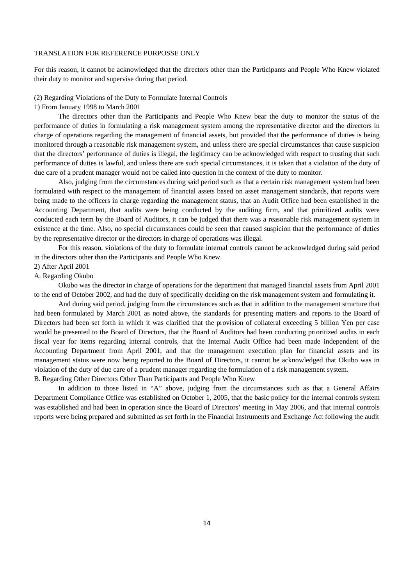For this reason, it cannot be acknowledged that the directors other than the Participants and People Who Knew violated their duty to monitor and supervise during that period.

#### (2) Regarding Violations of the Duty to Formulate Internal Controls

#### 1) From January 1998 to March 2001

The directors other than the Participants and People Who Knew bear the duty to monitor the status of the performance of duties in formulating a risk management system among the representative director and the directors in charge of operations regarding the management of financial assets, but provided that the performance of duties is being monitored through a reasonable risk management system, and unless there are special circumstances that cause suspicion that the directors' performance of duties is illegal, the legitimacy can be acknowledged with respect to trusting that such performance of duties is lawful, and unless there are such special circumstances, it is taken that a violation of the duty of due care of a prudent manager would not be called into question in the context of the duty to monitor.

Also, judging from the circumstances during said period such as that a certain risk management system had been formulated with respect to the management of financial assets based on asset management standards, that reports were being made to the officers in charge regarding the management status, that an Audit Office had been established in the Accounting Department, that audits were being conducted by the auditing firm, and that prioritized audits were conducted each term by the Board of Auditors, it can be judged that there was a reasonable risk management system in existence at the time. Also, no special circumstances could be seen that caused suspicion that the performance of duties by the representative director or the directors in charge of operations was illegal.

For this reason, violations of the duty to formulate internal controls cannot be acknowledged during said period in the directors other than the Participants and People Who Knew.

## 2) After April 2001

## A. Regarding Okubo

Okubo was the director in charge of operations for the department that managed financial assets from April 2001 to the end of October 2002, and had the duty of specifically deciding on the risk management system and formulating it.

And during said period, judging from the circumstances such as that in addition to the management structure that had been formulated by March 2001 as noted above, the standards for presenting matters and reports to the Board of Directors had been set forth in which it was clarified that the provision of collateral exceeding 5 billion Yen per case would be presented to the Board of Directors, that the Board of Auditors had been conducting prioritized audits in each fiscal year for items regarding internal controls, that the Internal Audit Office had been made independent of the Accounting Department from April 2001, and that the management execution plan for financial assets and its management status were now being reported to the Board of Directors, it cannot be acknowledged that Okubo was in violation of the duty of due care of a prudent manager regarding the formulation of a risk management system. B. Regarding Other Directors Other Than Participants and People Who Knew

In addition to those listed in "A" above, judging from the circumstances such as that a General Affairs Department Compliance Office was established on October 1, 2005, that the basic policy for the internal controls system was established and had been in operation since the Board of Directors' meeting in May 2006, and that internal controls reports were being prepared and submitted as set forth in the Financial Instruments and Exchange Act following the audit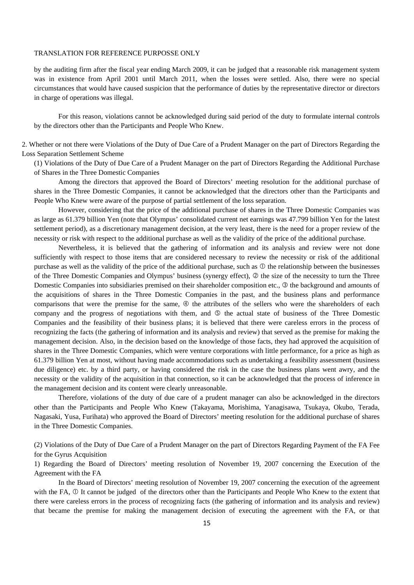by the auditing firm after the fiscal year ending March 2009, it can be judged that a reasonable risk management system was in existence from April 2001 until March 2011, when the losses were settled. Also, there were no special circumstances that would have caused suspicion that the performance of duties by the representative director or directors in charge of operations was illegal.

For this reason, violations cannot be acknowledged during said period of the duty to formulate internal controls by the directors other than the Participants and People Who Knew.

2. Whether or not there were Violations of the Duty of Due Care of a Prudent Manager on the part of Directors Regarding the Loss Separation Settlement Scheme

(1) Violations of the Duty of Due Care of a Prudent Manager on the part of Directors Regarding the Additional Purchase of Shares in the Three Domestic Companies

Among the directors that approved the Board of Directors' meeting resolution for the additional purchase of shares in the Three Domestic Companies, it cannot be acknowledged that the directors other than the Participants and People Who Knew were aware of the purpose of partial settlement of the loss separation.

However, considering that the price of the additional purchase of shares in the Three Domestic Companies was as large as 61.379 billion Yen (note that Olympus' consolidated current net earnings was 47.799 billion Yen for the latest settlement period), as a discretionary management decision, at the very least, there is the need for a proper review of the necessity or risk with respect to the additional purchase as well as the validity of the price of the additional purchase.

Nevertheless, it is believed that the gathering of information and its analysis and review were not done sufficiently with respect to those items that are considered necessary to review the necessity or risk of the additional purchase as well as the validity of the price of the additional purchase, such as  $\mathbb O$  the relationship between the businesses of the Three Domestic Companies and Olympus' business (synergy effect), the size of the necessity to turn the Three Domestic Companies into subsidiaries premised on their shareholder composition etc.,  $\circledcirc$  the background and amounts of the acquisitions of shares in the Three Domestic Companies in the past, and the business plans and performance comparisons that were the premise for the same,  $\Phi$  the attributes of the sellers who were the shareholders of each company and the progress of negotiations with them, and  $\circledcirc$  the actual state of business of the Three Domestic Companies and the feasibility of their business plans; it is believed that there were careless errors in the process of recognizing the facts (the gathering of information and its analysis and review) that served as the premise for making the management decision. Also, in the decision based on the knowledge of those facts, they had approved the acquisition of shares in the Three Domestic Companies, which were venture corporations with little performance, for a price as high as 61.379 billion Yen at most, without having made accommodations such as undertaking a feasibility assessment (business due diligence) etc. by a third party, or having considered the risk in the case the business plans went awry, and the necessity or the validity of the acquisition in that connection, so it can be acknowledged that the process of inference in the management decision and its content were clearly unreasonable.

Therefore, violations of the duty of due care of a prudent manager can also be acknowledged in the directors other than the Participants and People Who Knew (Takayama, Morishima, Yanagisawa, Tsukaya, Okubo, Terada, Nagasaki, Yusa, Furihata) who approved the Board of Directors' meeting resolution for the additional purchase of shares in the Three Domestic Companies.

(2) Violations of the Duty of Due Care of a Prudent Manager on the part of Directors Regarding Payment of the FA Fee for the Gyrus Acquisition

1) Regarding the Board of Directors' meeting resolution of November 19, 2007 concerning the Execution of the Agreement with the FA

In the Board of Directors' meeting resolution of November 19, 2007 concerning the execution of the agreement with the FA,  $\Phi$  It cannot be judged of the directors other than the Participants and People Who Knew to the extent that there were careless errors in the process of recognizing facts (the gathering of information and its analysis and review) that became the premise for making the management decision of executing the agreement with the FA, or that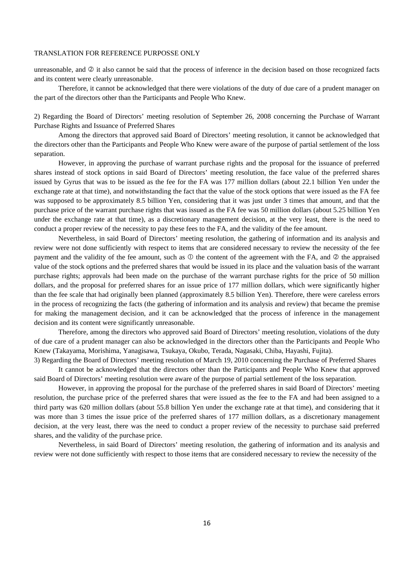unreasonable, and  $\oslash$  it also cannot be said that the process of inference in the decision based on those recognized facts and its content were clearly unreasonable.

Therefore, it cannot be acknowledged that there were violations of the duty of due care of a prudent manager on the part of the directors other than the Participants and People Who Knew.

2) Regarding the Board of Directors' meeting resolution of September 26, 2008 concerning the Purchase of Warrant Purchase Rights and Issuance of Preferred Shares

Among the directors that approved said Board of Directors' meeting resolution, it cannot be acknowledged that the directors other than the Participants and People Who Knew were aware of the purpose of partial settlement of the loss separation.

However, in approving the purchase of warrant purchase rights and the proposal for the issuance of preferred shares instead of stock options in said Board of Directors' meeting resolution, the face value of the preferred shares issued by Gyrus that was to be issued as the fee for the FA was 177 million dollars (about 22.1 billion Yen under the exchange rate at that time), and notwithstanding the fact that the value of the stock options that were issued as the FA fee was supposed to be approximately 8.5 billion Yen, considering that it was just under 3 times that amount, and that the purchase price of the warrant purchase rights that was issued as the FA fee was 50 million dollars (about 5.25 billion Yen under the exchange rate at that time), as a discretionary management decision, at the very least, there is the need to conduct a proper review of the necessity to pay these fees to the FA, and the validity of the fee amount.

Nevertheless, in said Board of Directors' meeting resolution, the gathering of information and its analysis and review were not done sufficiently with respect to items that are considered necessary to review the necessity of the fee payment and the validity of the fee amount, such as  $\mathbb O$  the content of the agreement with the FA, and  $\mathbb O$  the appraised value of the stock options and the preferred shares that would be issued in its place and the valuation basis of the warrant purchase rights; approvals had been made on the purchase of the warrant purchase rights for the price of 50 million dollars, and the proposal for preferred shares for an issue price of 177 million dollars, which were significantly higher than the fee scale that had originally been planned (approximately 8.5 billion Yen). Therefore, there were careless errors in the process of recognizing the facts (the gathering of information and its analysis and review) that became the premise for making the management decision, and it can be acknowledged that the process of inference in the management decision and its content were significantly unreasonable.

Therefore, among the directors who approved said Board of Directors' meeting resolution, violations of the duty of due care of a prudent manager can also be acknowledged in the directors other than the Participants and People Who Knew (Takayama, Morishima, Yanagisawa, Tsukaya, Okubo, Terada, Nagasaki, Chiba, Hayashi, Fujita).

3) Regarding the Board of Directors' meeting resolution of March 19, 2010 concerning the Purchase of Preferred Shares It cannot be acknowledged that the directors other than the Participants and People Who Knew that approved said Board of Directors' meeting resolution were aware of the purpose of partial settlement of the loss separation.

However, in approving the proposal for the purchase of the preferred shares in said Board of Directors' meeting resolution, the purchase price of the preferred shares that were issued as the fee to the FA and had been assigned to a third party was 620 million dollars (about 55.8 billion Yen under the exchange rate at that time), and considering that it was more than 3 times the issue price of the preferred shares of 177 million dollars, as a discretionary management decision, at the very least, there was the need to conduct a proper review of the necessity to purchase said preferred shares, and the validity of the purchase price.

Nevertheless, in said Board of Directors' meeting resolution, the gathering of information and its analysis and review were not done sufficiently with respect to those items that are considered necessary to review the necessity of the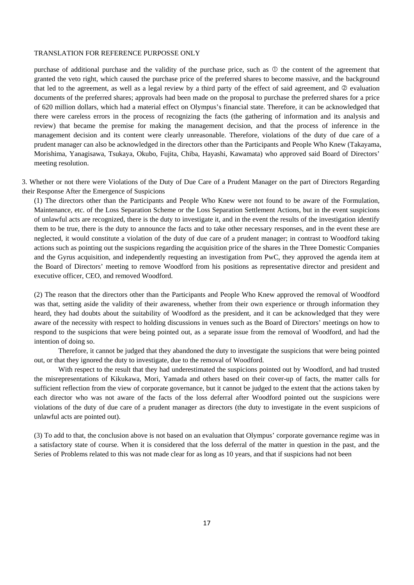purchase of additional purchase and the validity of the purchase price, such as  $\Phi$  the content of the agreement that granted the veto right, which caused the purchase price of the preferred shares to become massive, and the background that led to the agreement, as well as a legal review by a third party of the effect of said agreement, and  $\oslash$  evaluation documents of the preferred shares; approvals had been made on the proposal to purchase the preferred shares for a price of 620 million dollars, which had a material effect on Olympus's financial state. Therefore, it can be acknowledged that there were careless errors in the process of recognizing the facts (the gathering of information and its analysis and review) that became the premise for making the management decision, and that the process of inference in the management decision and its content were clearly unreasonable. Therefore, violations of the duty of due care of a prudent manager can also be acknowledged in the directors other than the Participants and People Who Knew (Takayama, Morishima, Yanagisawa, Tsukaya, Okubo, Fujita, Chiba, Hayashi, Kawamata) who approved said Board of Directors' meeting resolution.

3. Whether or not there were Violations of the Duty of Due Care of a Prudent Manager on the part of Directors Regarding their Response After the Emergence of Suspicions

(1) The directors other than the Participants and People Who Knew were not found to be aware of the Formulation, Maintenance, etc. of the Loss Separation Scheme or the Loss Separation Settlement Actions, but in the event suspicions of unlawful acts are recognized, there is the duty to investigate it, and in the event the results of the investigation identify them to be true, there is the duty to announce the facts and to take other necessary responses, and in the event these are neglected, it would constitute a violation of the duty of due care of a prudent manager; in contrast to Woodford taking actions such as pointing out the suspicions regarding the acquisition price of the shares in the Three Domestic Companies and the Gyrus acquisition, and independently requesting an investigation from PwC, they approved the agenda item at the Board of Directors' meeting to remove Woodford from his positions as representative director and president and executive officer, CEO, and removed Woodford.

(2) The reason that the directors other than the Participants and People Who Knew approved the removal of Woodford was that, setting aside the validity of their awareness, whether from their own experience or through information they heard, they had doubts about the suitability of Woodford as the president, and it can be acknowledged that they were aware of the necessity with respect to holding discussions in venues such as the Board of Directors' meetings on how to respond to the suspicions that were being pointed out, as a separate issue from the removal of Woodford, and had the intention of doing so.

Therefore, it cannot be judged that they abandoned the duty to investigate the suspicions that were being pointed out, or that they ignored the duty to investigate, due to the removal of Woodford.

With respect to the result that they had underestimated the suspicions pointed out by Woodford, and had trusted the misrepresentations of Kikukawa, Mori, Yamada and others based on their cover-up of facts, the matter calls for sufficient reflection from the view of corporate governance, but it cannot be judged to the extent that the actions taken by each director who was not aware of the facts of the loss deferral after Woodford pointed out the suspicions were violations of the duty of due care of a prudent manager as directors (the duty to investigate in the event suspicions of unlawful acts are pointed out).

(3) To add to that, the conclusion above is not based on an evaluation that Olympus' corporate governance regime was in a satisfactory state of course. When it is considered that the loss deferral of the matter in question in the past, and the Series of Problems related to this was not made clear for as long as 10 years, and that if suspicions had not been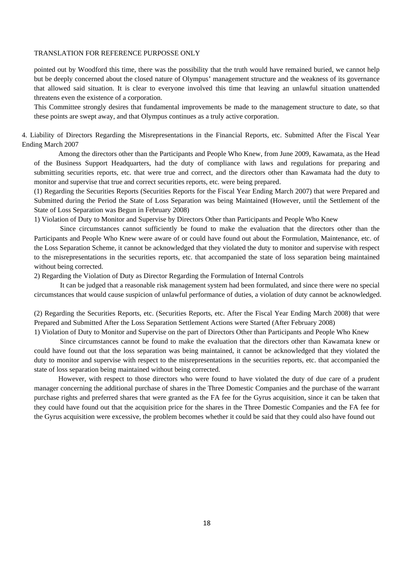pointed out by Woodford this time, there was the possibility that the truth would have remained buried, we cannot help but be deeply concerned about the closed nature of Olympus' management structure and the weakness of its governance that allowed said situation. It is clear to everyone involved this time that leaving an unlawful situation unattended threatens even the existence of a corporation.

This Committee strongly desires that fundamental improvements be made to the management structure to date, so that these points are swept away, and that Olympus continues as a truly active corporation.

4. Liability of Directors Regarding the Misrepresentations in the Financial Reports, etc. Submitted After the Fiscal Year Ending March 2007

Among the directors other than the Participants and People Who Knew, from June 2009, Kawamata, as the Head of the Business Support Headquarters, had the duty of compliance with laws and regulations for preparing and submitting securities reports, etc. that were true and correct, and the directors other than Kawamata had the duty to monitor and supervise that true and correct securities reports, etc. were being prepared.

(1) Regarding the Securities Reports (Securities Reports for the Fiscal Year Ending March 2007) that were Prepared and Submitted during the Period the State of Loss Separation was being Maintained (However, until the Settlement of the State of Loss Separation was Begun in February 2008)

1) Violation of Duty to Monitor and Supervise by Directors Other than Participants and People Who Knew

Since circumstances cannot sufficiently be found to make the evaluation that the directors other than the Participants and People Who Knew were aware of or could have found out about the Formulation, Maintenance, etc. of the Loss Separation Scheme, it cannot be acknowledged that they violated the duty to monitor and supervise with respect to the misrepresentations in the securities reports, etc. that accompanied the state of loss separation being maintained without being corrected.

2) Regarding the Violation of Duty as Director Regarding the Formulation of Internal Controls

It can be judged that a reasonable risk management system had been formulated, and since there were no special circumstances that would cause suspicion of unlawful performance of duties, a violation of duty cannot be acknowledged.

(2) Regarding the Securities Reports, etc. (Securities Reports, etc. After the Fiscal Year Ending March 2008) that were Prepared and Submitted After the Loss Separation Settlement Actions were Started (After February 2008) 1) Violation of Duty to Monitor and Supervise on the part of Directors Other than Participants and People Who Knew

Since circumstances cannot be found to make the evaluation that the directors other than Kawamata knew or could have found out that the loss separation was being maintained, it cannot be acknowledged that they violated the duty to monitor and supervise with respect to the misrepresentations in the securities reports, etc. that accompanied the state of loss separation being maintained without being corrected.

However, with respect to those directors who were found to have violated the duty of due care of a prudent manager concerning the additional purchase of shares in the Three Domestic Companies and the purchase of the warrant purchase rights and preferred shares that were granted as the FA fee for the Gyrus acquisition, since it can be taken that they could have found out that the acquisition price for the shares in the Three Domestic Companies and the FA fee for the Gyrus acquisition were excessive, the problem becomes whether it could be said that they could also have found out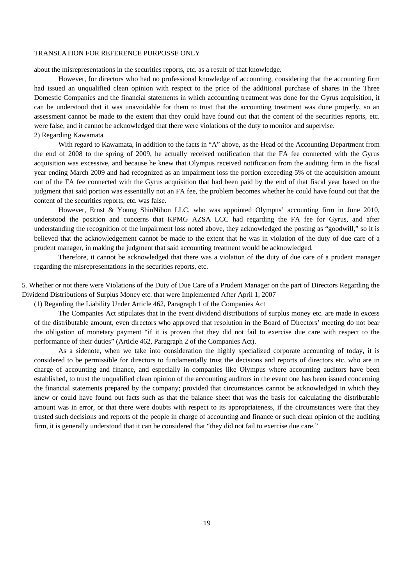about the misrepresentations in the securities reports, etc. as a result of that knowledge.

However, for directors who had no professional knowledge of accounting, considering that the accounting firm had issued an unqualified clean opinion with respect to the price of the additional purchase of shares in the Three Domestic Companies and the financial statements in which accounting treatment was done for the Gyrus acquisition, it can be understood that it was unavoidable for them to trust that the accounting treatment was done properly, so an assessment cannot be made to the extent that they could have found out that the content of the securities reports, etc. were false, and it cannot be acknowledged that there were violations of the duty to monitor and supervise. 2) Regarding Kawamata

With regard to Kawamata, in addition to the facts in "A" above, as the Head of the Accounting Department from the end of 2008 to the spring of 2009, he actually received notification that the FA fee connected with the Gyrus acquisition was excessive, and because he knew that Olympus received notification from the auditing firm in the fiscal year ending March 2009 and had recognized as an impairment loss the portion exceeding 5% of the acquisition amount out of the FA fee connected with the Gyrus acquisition that had been paid by the end of that fiscal year based on the judgment that said portion was essentially not an FA fee, the problem becomes whether he could have found out that the content of the securities reports, etc. was false.

However, Ernst & Young ShinNihon LLC, who was appointed Olympus' accounting firm in June 2010, understood the position and concerns that KPMG AZSA LCC had regarding the FA fee for Gyrus, and after understanding the recognition of the impairment loss noted above, they acknowledged the posting as "goodwill," so it is believed that the acknowledgement cannot be made to the extent that he was in violation of the duty of due care of a prudent manager, in making the judgment that said accounting treatment would be acknowledged.

Therefore, it cannot be acknowledged that there was a violation of the duty of due care of a prudent manager regarding the misrepresentations in the securities reports, etc.

5. Whether or not there were Violations of the Duty of Due Care of a Prudent Manager on the part of Directors Regarding the Dividend Distributions of Surplus Money etc. that were Implemented After April 1, 2007

(1) Regarding the Liability Under Article 462, Paragraph 1 of the Companies Act

The Companies Act stipulates that in the event dividend distributions of surplus money etc. are made in excess of the distributable amount, even directors who approved that resolution in the Board of Directors' meeting do not bear the obligation of monetary payment "if it is proven that they did not fail to exercise due care with respect to the performance of their duties" (Article 462, Paragraph 2 of the Companies Act).

As a sidenote, when we take into consideration the highly specialized corporate accounting of today, it is considered to be permissible for directors to fundamentally trust the decisions and reports of directors etc. who are in charge of accounting and finance, and especially in companies like Olympus where accounting auditors have been established, to trust the unqualified clean opinion of the accounting auditors in the event one has been issued concerning the financial statements prepared by the company; provided that circumstances cannot be acknowledged in which they knew or could have found out facts such as that the balance sheet that was the basis for calculating the distributable amount was in error, or that there were doubts with respect to its appropriateness, if the circumstances were that they trusted such decisions and reports of the people in charge of accounting and finance or such clean opinion of the auditing firm, it is generally understood that it can be considered that "they did not fail to exercise due care."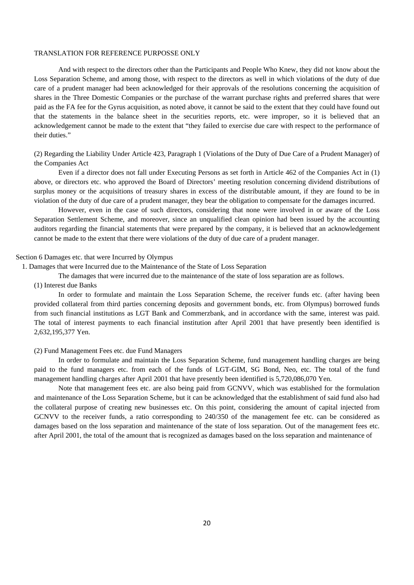And with respect to the directors other than the Participants and People Who Knew, they did not know about the Loss Separation Scheme, and among those, with respect to the directors as well in which violations of the duty of due care of a prudent manager had been acknowledged for their approvals of the resolutions concerning the acquisition of shares in the Three Domestic Companies or the purchase of the warrant purchase rights and preferred shares that were paid as the FA fee for the Gyrus acquisition, as noted above, it cannot be said to the extent that they could have found out that the statements in the balance sheet in the securities reports, etc. were improper, so it is believed that an acknowledgement cannot be made to the extent that "they failed to exercise due care with respect to the performance of their duties."

(2) Regarding the Liability Under Article 423, Paragraph 1 (Violations of the Duty of Due Care of a Prudent Manager) of the Companies Act

Even if a director does not fall under Executing Persons as set forth in Article 462 of the Companies Act in (1) above, or directors etc. who approved the Board of Directors' meeting resolution concerning dividend distributions of surplus money or the acquisitions of treasury shares in excess of the distributable amount, if they are found to be in violation of the duty of due care of a prudent manager, they bear the obligation to compensate for the damages incurred.

However, even in the case of such directors, considering that none were involved in or aware of the Loss Separation Settlement Scheme, and moreover, since an unqualified clean opinion had been issued by the accounting auditors regarding the financial statements that were prepared by the company, it is believed that an acknowledgement cannot be made to the extent that there were violations of the duty of due care of a prudent manager.

## Section 6 Damages etc. that were Incurred by Olympus

1. Damages that were Incurred due to the Maintenance of the State of Loss Separation

The damages that were incurred due to the maintenance of the state of loss separation are as follows.

## (1) Interest due Banks

In order to formulate and maintain the Loss Separation Scheme, the receiver funds etc. (after having been provided collateral from third parties concerning deposits and government bonds, etc. from Olympus) borrowed funds from such financial institutions as LGT Bank and Commerzbank, and in accordance with the same, interest was paid. The total of interest payments to each financial institution after April 2001 that have presently been identified is 2,632,195,377 Yen.

#### (2) Fund Management Fees etc. due Fund Managers

In order to formulate and maintain the Loss Separation Scheme, fund management handling charges are being paid to the fund managers etc. from each of the funds of LGT-GIM, SG Bond, Neo, etc. The total of the fund management handling charges after April 2001 that have presently been identified is 5,720,086,070 Yen.

Note that management fees etc. are also being paid from GCNVV, which was established for the formulation and maintenance of the Loss Separation Scheme, but it can be acknowledged that the establishment of said fund also had the collateral purpose of creating new businesses etc. On this point, considering the amount of capital injected from GCNVV to the receiver funds, a ratio corresponding to 240/350 of the management fee etc. can be considered as damages based on the loss separation and maintenance of the state of loss separation. Out of the management fees etc. after April 2001, the total of the amount that is recognized as damages based on the loss separation and maintenance of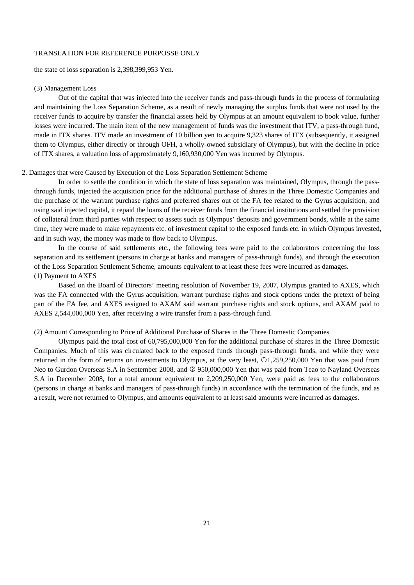the state of loss separation is 2,398,399,953 Yen.

## (3) Management Loss

Out of the capital that was injected into the receiver funds and pass-through funds in the process of formulating and maintaining the Loss Separation Scheme, as a result of newly managing the surplus funds that were not used by the receiver funds to acquire by transfer the financial assets held by Olympus at an amount equivalent to book value, further losses were incurred. The main item of the new management of funds was the investment that ITV, a pass-through fund, made in ITX shares. ITV made an investment of 10 billion yen to acquire 9,323 shares of ITX (subsequently, it assigned them to Olympus, either directly or through OFH, a wholly-owned subsidiary of Olympus), but with the decline in price of ITX shares, a valuation loss of approximately 9,160,930,000 Yen was incurred by Olympus.

## 2. Damages that were Caused by Execution of the Loss Separation Settlement Scheme

In order to settle the condition in which the state of loss separation was maintained, Olympus, through the passthrough funds, injected the acquisition price for the additional purchase of shares in the Three Domestic Companies and the purchase of the warrant purchase rights and preferred shares out of the FA fee related to the Gyrus acquisition, and using said injected capital, it repaid the loans of the receiver funds from the financial institutions and settled the provision of collateral from third parties with respect to assets such as Olympus' deposits and government bonds, while at the same time, they were made to make repayments etc. of investment capital to the exposed funds etc. in which Olympus invested, and in such way, the money was made to flow back to Olympus.

In the course of said settlements etc., the following fees were paid to the collaborators concerning the loss separation and its settlement (persons in charge at banks and managers of pass-through funds), and through the execution of the Loss Separation Settlement Scheme, amounts equivalent to at least these fees were incurred as damages. (1) Payment to AXES

Based on the Board of Directors' meeting resolution of November 19, 2007, Olympus granted to AXES, which was the FA connected with the Gyrus acquisition, warrant purchase rights and stock options under the pretext of being part of the FA fee, and AXES assigned to AXAM said warrant purchase rights and stock options, and AXAM paid to AXES 2,544,000,000 Yen, after receiving a wire transfer from a pass-through fund.

## (2) Amount Corresponding to Price of Additional Purchase of Shares in the Three Domestic Companies

Olympus paid the total cost of 60,795,000,000 Yen for the additional purchase of shares in the Three Domestic Companies. Much of this was circulated back to the exposed funds through pass-through funds, and while they were returned in the form of returns on investments to Olympus, at the very least,  $\Omega$ 1,259,250,000 Yen that was paid from Neo to Gurdon Overseas S.A in September 2008, and  $\oslash$  950,000,000 Yen that was paid from Teao to Nayland Overseas S.A in December 2008, for a total amount equivalent to 2,209,250,000 Yen, were paid as fees to the collaborators (persons in charge at banks and managers of pass-through funds) in accordance with the termination of the funds, and as a result, were not returned to Olympus, and amounts equivalent to at least said amounts were incurred as damages.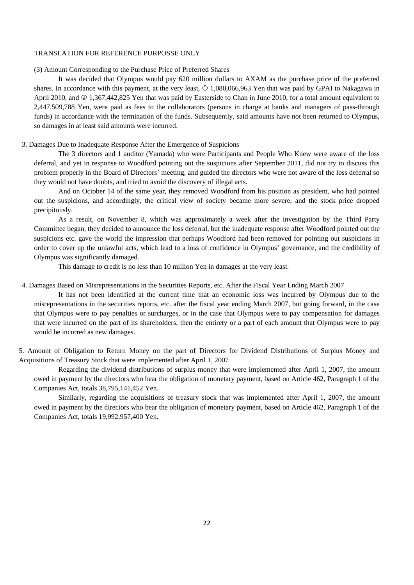(3) Amount Corresponding to the Purchase Price of Preferred Shares

It was decided that Olympus would pay 620 million dollars to AXAM as the purchase price of the preferred shares. In accordance with this payment, at the very least,  $\Omega$  1,080,066,963 Yen that was paid by GPAI to Nakagawa in April 2010, and  $\oslash$  1,367,442,825 Yen that was paid by Easterside to Chan in June 2010, for a total amount equivalent to 2,447,509,788 Yen, were paid as fees to the collaborators (persons in charge at banks and managers of pass-through funds) in accordance with the termination of the funds. Subsequently, said amounts have not been returned to Olympus, so damages in at least said amounts were incurred.

## 3. Damages Due to Inadequate Response After the Emergence of Suspicions

The 3 directors and 1 auditor (Yamada) who were Participants and People Who Knew were aware of the loss deferral, and yet in response to Woodford pointing out the suspicions after September 2011, did not try to discuss this problem properly in the Board of Directors' meeting, and guided the directors who were not aware of the loss deferral so they would not have doubts, and tried to avoid the discovery of illegal acts.

And on October 14 of the same year, they removed Woodford from his position as president, who had pointed out the suspicions, and accordingly, the critical view of society became more severe, and the stock price dropped precipitously.

As a result, on November 8, which was approximately a week after the investigation by the Third Party Committee began, they decided to announce the loss deferral, but the inadequate response after Woodford pointed out the suspicions etc. gave the world the impression that perhaps Woodford had been removed for pointing out suspicions in order to cover up the unlawful acts, which lead to a loss of confidence in Olympus' governance, and the credibility of Olympus was significantly damaged.

This damage to credit is no less than 10 million Yen in damages at the very least.

## 4. Damages Based on Misrepresentations in the Securities Reports, etc. After the Fiscal Year Ending March 2007

It has not been identified at the current time that an economic loss was incurred by Olympus due to the misrepresentations in the securities reports, etc. after the fiscal year ending March 2007, but going forward, in the case that Olympus were to pay penalties or surcharges, or in the case that Olympus were to pay compensation for damages that were incurred on the part of its shareholders, then the entirety or a part of each amount that Olympus were to pay would be incurred as new damages.

5. Amount of Obligation to Return Money on the part of Directors for Dividend Distributions of Surplus Money and Acquisitions of Treasury Stock that were implemented after April 1, 2007

Regarding the dividend distributions of surplus money that were implemented after April 1, 2007, the amount owed in payment by the directors who bear the obligation of monetary payment, based on Article 462, Paragraph 1 of the Companies Act, totals 38,795,141,452 Yen.

Similarly, regarding the acquisitions of treasury stock that was implemented after April 1, 2007, the amount owed in payment by the directors who bear the obligation of monetary payment, based on Article 462, Paragraph 1 of the Companies Act, totals 19,992,957,400 Yen.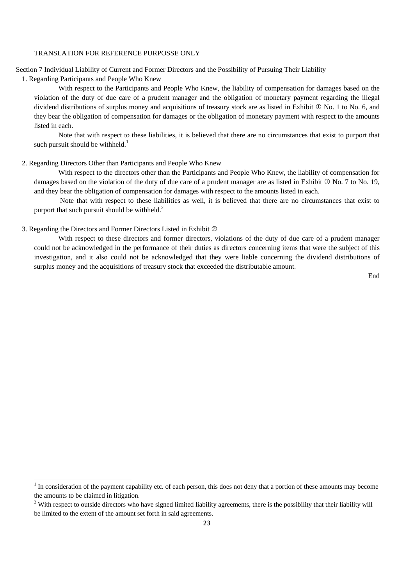Section 7 Individual Liability of Current and Former Directors and the Possibility of Pursuing Their Liability

1. Regarding Participants and People Who Knew

With respect to the Participants and People Who Knew, the liability of compensation for damages based on the violation of the duty of due care of a prudent manager and the obligation of monetary payment regarding the illegal dividend distributions of surplus money and acquisitions of treasury stock are as listed in Exhibit  $\mathbb O$  No. 1 to No. 6, and they bear the obligation of compensation for damages or the obligation of monetary payment with respect to the amounts listed in each.

Note that with respect to these liabilities, it is believed that there are no circumstances that exist to purport that such pursuit should be withheld.<sup>1</sup>

## 2. Regarding Directors Other than Participants and People Who Knew

With respect to the directors other than the Participants and People Who Knew, the liability of compensation for damages based on the violation of the duty of due care of a prudent manager are as listed in Exhibit  $\mathbb O$  No. 7 to No. 19, and they bear the obligation of compensation for damages with respect to the amounts listed in each.

Note that with respect to these liabilities as well, it is believed that there are no circumstances that exist to purport that such pursuit should be withheld. $^{2}$ 

## 3. Regarding the Directors and Former Directors Listed in Exhibit

With respect to these directors and former directors, violations of the duty of due care of a prudent manager could not be acknowledged in the performance of their duties as directors concerning items that were the subject of this investigation, and it also could not be acknowledged that they were liable concerning the dividend distributions of surplus money and the acquisitions of treasury stock that exceeded the distributable amount.

End

<sup>&</sup>lt;sup>1</sup> In consideration of the payment capability etc. of each person, this does not deny that a portion of these amounts may become the amounts to be claimed in litigation.

 $2$  With respect to outside directors who have signed limited liability agreements, there is the possibility that their liability will be limited to the extent of the amount set forth in said agreements.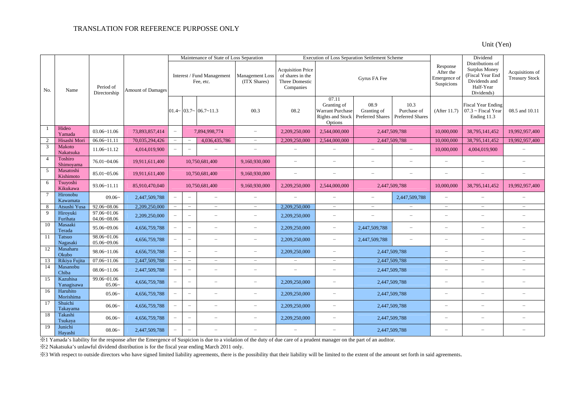Unit (Yen)

|                 |                           | Maintenance of State of Loss Separation<br>Execution of Loss Separation Settlement Scheme |                          |                                         |                          |                                      |                                 |                                                                             | Dividend                                                                              |                                                |                                                |                                                     |                                                                                                   |                                          |
|-----------------|---------------------------|-------------------------------------------------------------------------------------------|--------------------------|-----------------------------------------|--------------------------|--------------------------------------|---------------------------------|-----------------------------------------------------------------------------|---------------------------------------------------------------------------------------|------------------------------------------------|------------------------------------------------|-----------------------------------------------------|---------------------------------------------------------------------------------------------------|------------------------------------------|
| No.             | Name                      | Period of<br>Directorship                                                                 | <b>Amount of Damages</b> | Interest / Fund Management<br>Fee, etc. |                          |                                      | Management Loss<br>(ITX Shares) | <b>Acquisition Price</b><br>of shares in the<br>Three Domestic<br>Companies | Gyrus FA Fee                                                                          |                                                |                                                | Response<br>After the<br>Emergence of<br>Suspicions | Distributions of<br>Surplus Money<br>(Fiscal Year End<br>Dividends and<br>Half-Year<br>Dividends) | Acquisitions of<br><b>Treasury Stock</b> |
|                 |                           |                                                                                           |                          |                                         |                          | $01.4 \sim 03.7 \sim 06.7 \sim 11.3$ | 00.3                            | 08.2                                                                        | 07.11<br>Granting of<br><b>Warrant Purchase</b><br><b>Rights and Stock</b><br>Options | 08.9<br>Granting of<br><b>Preferred Shares</b> | 10.3<br>Purchase of<br><b>Preferred Shares</b> | (After 11.7)                                        | <b>Fiscal Year Ending</b><br>$07.3 \sim$ Fiscal Year<br>Ending 11.3                               | 08.5 and 10.11                           |
| $\overline{1}$  | Hideo<br>Yamada           | $03.06 - 11.06$                                                                           | 73,893,857,414           | $\overline{\phantom{m}}$                | 7,894,998,774            |                                      | $\equiv$                        | 2,209,250,000                                                               | 2,544,000,000                                                                         | 2,447,509,788                                  |                                                | 10,000,000                                          | 38,795,141,452                                                                                    | 19,992,957,400                           |
| $\overline{c}$  | Hisashi Mori              | $06.06 - 11.11$                                                                           | 70,035,294,426           | $\overline{\phantom{a}}$                |                          | 4,036,435,786                        | $\overline{\phantom{m}}$        | 2,209,250,000                                                               | 2,544,000,000                                                                         | 2,447,509,788                                  |                                                | 10,000,000                                          | 38,795,141,452                                                                                    | 19,992,957,400                           |
| 3               | Makoto<br>Nakatsuka       | $11.06 - 11.12$                                                                           | 4,014,019,900            |                                         | $\equiv$                 | $\equiv$                             | $\overline{\phantom{m}}$        | $\equiv$                                                                    | $\overline{a}$                                                                        | $\equiv$                                       | Ľ.                                             | 10,000,000                                          | 4,004,019,900                                                                                     | $\equiv$                                 |
| $\overline{4}$  | Toshiro<br>Shimoyama      | 76.01~04.06                                                                               | 19,911,611,400           |                                         |                          | 10,750,681,400                       | 9,160,930,000                   | $\equiv$                                                                    | $\equiv$                                                                              | $\equiv$                                       | $\overline{a}$                                 | $\overline{\phantom{m}}$                            | $\equiv$                                                                                          | $\frac{1}{2}$                            |
| 5               | Masatoshi<br>Kishimoto    | 85.01~05.06                                                                               | 19,911,611,400           |                                         | 10,750,681,400           |                                      | 9,160,930,000                   | $\equiv$                                                                    | $\overline{\phantom{a}}$                                                              | $\equiv$                                       | $\equiv$                                       | $\sim$                                              | ÷                                                                                                 | $\equiv$                                 |
| 6               | Tsuyoshi<br>Kikukawa      | $93.06 - 11.11$                                                                           | 85,910,470,040           |                                         | 10,750,681,400           |                                      | 9,160,930,000                   | 2,209,250,000                                                               | 2.544,000,000                                                                         | 2.447.509.788                                  |                                                | 10,000,000                                          | 38,795,141,452                                                                                    | 19,992,957,400                           |
| $7\phantom{.0}$ | Hironobu<br>Kawamata      | $09.06-$                                                                                  | 2,447,509,788            | $\equiv$                                | $\overline{\phantom{m}}$ | $\equiv$                             | $\overline{\phantom{m}}$        | $\overline{\phantom{0}}$                                                    | $\equiv$                                                                              | $\overline{\phantom{0}}$                       | 2,447,509,788                                  | $\overline{\phantom{0}}$                            | $\overline{\phantom{0}}$                                                                          | $\frac{1}{2}$                            |
| 8               | Atsushi Yusa              | 92.06~08.06                                                                               | 2,209,250,000            |                                         | $\overline{\phantom{m}}$ | $\equiv$                             | $\overline{\phantom{m}}$        | 2,209,250,000                                                               | $\overline{\phantom{a}}$                                                              | $\overline{\phantom{m}}$                       |                                                | $\overline{\phantom{m}}$                            | $\equiv$                                                                                          | $\equiv$                                 |
| $\overline{9}$  | Hiroyuki<br>Furihata      | 97.06~01.06<br>04.06~08.06                                                                | 2,209,250,000            |                                         | $\overline{\phantom{a}}$ | $\overline{\phantom{0}}$             | $\overline{\phantom{a}}$        | 2,209,250,000                                                               | $\equiv$                                                                              | $\equiv$                                       | $\sim$                                         | $\overline{\phantom{0}}$                            | $\equiv$                                                                                          | $\equiv$                                 |
| 10              | Masaaki<br>Terada         | 95.06~09.06                                                                               | 4,656,759,788            | $\equiv$                                | $\overline{\phantom{m}}$ | $\overline{\phantom{0}}$             | $\overline{\phantom{0}}$        | 2,209,250,000                                                               | $\equiv$                                                                              | 2,447,509,788                                  | $\overline{a}$                                 | $\overline{\phantom{0}}$                            | $\overline{\phantom{0}}$                                                                          | $\frac{1}{2}$                            |
| 11              | <b>Tatsuo</b><br>Nagasaki | 98.06~01.06<br>05.06~09.06                                                                | 4,656,759,788            | $\equiv$                                | $\overline{\phantom{m}}$ | $\equiv$                             | $\overline{\phantom{m}}$        | 2,209,250,000                                                               | $\equiv$                                                                              | 2,447,509,788                                  | $\equiv$                                       | $\overline{\phantom{m}}$                            | $\equiv$                                                                                          | $\frac{1}{2}$                            |
| 12              | Masaharu<br>Okubo         | 98.06~11.06                                                                               | 4,656,759,788            |                                         | $\overline{\phantom{a}}$ | $\overline{ }$                       | $\equiv$                        | 2,209,250,000                                                               | $\equiv$                                                                              | 2,447,509,788                                  |                                                | $\overline{\phantom{a}}$                            | $\equiv$                                                                                          | $\equiv$                                 |
| 13              | Rikiya Fujita             | $07.06 \times 11.06$                                                                      | 2,447,509,788            | $\equiv$                                | $\overline{\phantom{m}}$ | $\overline{\phantom{0}}$             | $\overline{\phantom{m}}$        | $\equiv$                                                                    | $\overline{\phantom{m}}$                                                              | 2,447,509,788                                  |                                                | $\overline{\phantom{m}}$                            | $\overline{\phantom{0}}$                                                                          | $\frac{1}{2}$                            |
| 14              | Masanobu<br>Chiba         | $08.06 - 11.06$                                                                           | 2,447,509,788            | $\equiv$                                | $\equiv$                 | $\equiv$                             | $\equiv$                        | $\equiv$                                                                    | $\equiv$                                                                              | 2,447,509,788                                  |                                                | $\equiv$                                            | $\equiv$                                                                                          | $\overline{\phantom{0}}$                 |
| 15              | Kazuhisa<br>Yanagisawa    | 99.06~01.06<br>$05.06-$                                                                   | 4,656,759,788            |                                         | $\overline{\phantom{m}}$ | $\equiv$                             | $\equiv$                        | 2,209,250,000                                                               | $\equiv$                                                                              | 2,447,509,788                                  |                                                | $\overline{\phantom{m}}$                            | $\equiv$                                                                                          | $\overline{\phantom{0}}$                 |
| 16              | Haruhito<br>Morishima     | $05.06-$                                                                                  | 4,656,759,788            |                                         |                          | $\equiv$                             | $\overline{\phantom{0}}$        | 2,209,250,000                                                               | $\equiv$                                                                              | 2,447,509,788                                  |                                                | $\overline{\phantom{a}}$                            | $\overline{\phantom{0}}$                                                                          | $\overline{\phantom{m}}$                 |
| 17              | Shuichi<br>Takayama       | 06.06~                                                                                    | 4,656,759,788            |                                         | $\overline{\phantom{0}}$ | $\equiv$                             | $\equiv$                        | 2,209,250,000                                                               | $\equiv$                                                                              | 2,447,509,788                                  |                                                | $\sim$                                              | $\overline{\phantom{0}}$                                                                          | $\equiv$                                 |
| 18              | Takashi<br>Tsukaya        | $06.06-$                                                                                  | 4,656,759,788            |                                         | $\overline{\phantom{m}}$ | $=$                                  | $\equiv$                        | 2,209,250,000                                                               | $\equiv$                                                                              | 2,447,509,788                                  |                                                | $\overline{\phantom{m}}$                            | $\equiv$                                                                                          | $\equiv$                                 |
| 19              | Junichi<br>Hayashi        | $08.06-$                                                                                  | 2,447,509,788            |                                         | $\overline{\phantom{m}}$ |                                      |                                 |                                                                             | $\equiv$                                                                              | 2,447,509,788                                  |                                                | $\sim$                                              |                                                                                                   |                                          |

※1 Yamada's liability for the response after the Emergence of Suspicion is due to a violation of the duty of due care of a prudent manager on the part of an auditor.

※2 Nakatsuka's unlawful dividend distribution is for the fiscal year ending March 2011 only.

※3 With respect to outside directors who have signed limited liability agreements, there is the possibility that their liability will be limited to the extent of the amount set forth in said agreements.